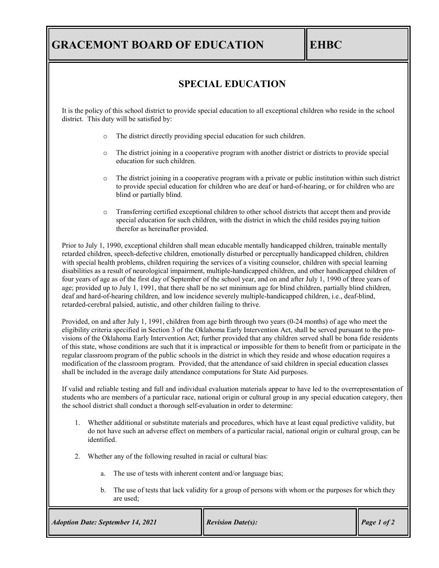## **GRACEMONT BOARD OF EDUCATION EHBC**

## **SPECIAL EDUCATION**

It is the policy of this school district to provide special education to all exceptional children who reside in the school district. This duty will be satisfied by:

- o The district directly providing special education for such children.
- o The district joining in a cooperative program with another district or districts to provide special education for such children.
- o The district joining in a cooperative program with a private or public institution within such district to provide special education for children who are deaf or hard-of-hearing, or for children who are blind or partially blind.
- Transferring certified exceptional children to other school districts that accept them and provide special education for such children, with the district in which the child resides paying tuition therefor as hereinafter provided.

Prior to July 1, 1990, exceptional children shall mean educable mentally handicapped children, trainable mentally retarded children, speech-defective children, emotionally disturbed or perceptually handicapped children, children with special health problems, children requiring the services of a visiting counselor, children with special learning disabilities as a result of neurological impairment, multiple-handicapped children, and other handicapped children of four years of age as of the first day of September of the school year, and on and after July 1, 1990 of three years of age; provided up to July 1, 1991, that there shall be no set minimum age for blind children, partially blind children, deaf and hard-of-hearing children, and low incidence severely multiple-handicapped children, i.e., deaf-blind, retarded-cerebral palsied, autistic, and other children failing to thrive.

Provided, on and after July 1, 1991, children from age birth through two years (0-24 months) of age who meet the eligibility criteria specified in Section 3 of the Oklahoma Early Intervention Act, shall be served pursuant to the provisions of the Oklahoma Early Intervention Act; further provided that any children served shall be bona fide residents of this state, whose conditions are such that it is impractical or impossible for them to benefit from or participate in the regular classroom program of the public schools in the district in which they reside and whose education requires a modification of the classroom program. Provided, that the attendance of said children in special education classes shall be included in the average daily attendance computations for State Aid purposes.

If valid and reliable testing and full and individual evaluation materials appear to have led to the overrepresentation of students who are members of a particular race, national origin or cultural group in any special education category, then the school district shall conduct a thorough self-evaluation in order to determine:

- 1. Whether additional or substitute materials and procedures, which have at least equal predictive validity, but do not have such an adverse effect on members of a particular racial, national origin or cultural group, can be identified.
- 2. Whether any of the following resulted in racial or cultural bias:
	- a. The use of tests with inherent content and/or language bias;
	- b. The use of tests that lack validity for a group of persons with whom or the purposes for which they are used;

| <b>Adoption Date: September 14, 2021</b> | $\blacksquare$ Revision Date(s): | Page 1 of 2 |
|------------------------------------------|----------------------------------|-------------|
|------------------------------------------|----------------------------------|-------------|